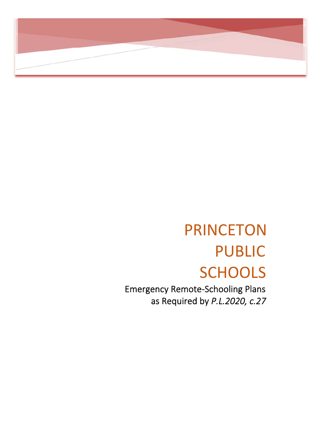

# PRINCETON PUBLIC **SCHOOLS**

 Emergency Remote‐Schooling Plans as Required by *P.L.2020, c.27*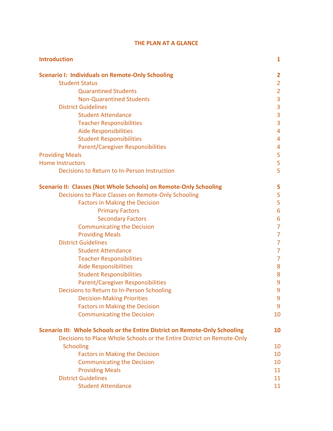| <b>Introduction</b>                                                         | 1              |
|-----------------------------------------------------------------------------|----------------|
| <b>Scenario I: Individuals on Remote-Only Schooling</b>                     | 2              |
| <b>Student Status</b>                                                       | $\overline{2}$ |
| <b>Quarantined Students</b>                                                 | $\overline{2}$ |
| <b>Non-Quarantined Students</b>                                             | 3              |
| <b>District Guidelines</b>                                                  | 3              |
| <b>Student Attendance</b>                                                   | 3              |
| <b>Teacher Responsibilities</b>                                             | 3              |
| <b>Aide Responsibilities</b>                                                | $\overline{4}$ |
| <b>Student Responsibilities</b>                                             | 4              |
| <b>Parent/Caregiver Responsibilities</b>                                    | 4              |
| <b>Providing Meals</b>                                                      | 5              |
| <b>Home Instructors</b>                                                     | 5              |
| Decisions to Return to In-Person Instruction                                | 5              |
| <b>Scenario II: Classes (Not Whole Schools) on Remote-Only Schooling</b>    | 5              |
| Decisions to Place Classes on Remote-Only Schooling                         | 5              |
| <b>Factors in Making the Decision</b>                                       | 5              |
| <b>Primary Factors</b>                                                      | 6              |
| <b>Secondary Factors</b>                                                    | 6              |
| <b>Communicating the Decision</b>                                           | $\overline{7}$ |
| <b>Providing Meals</b>                                                      | $\overline{7}$ |
| <b>District Guidelines</b>                                                  | $\overline{7}$ |
| <b>Student Attendance</b>                                                   | 7              |
| <b>Teacher Responsibilities</b>                                             | 7              |
| <b>Aide Responsibilities</b>                                                | 8              |
| <b>Student Responsibilities</b>                                             | 8              |
| <b>Parent/Caregiver Responsibilities</b>                                    | 9              |
| Decisions to Return to In-Person Schooling                                  | 9              |
| <b>Decision-Making Priorities</b>                                           | 9              |
| <b>Factors in Making the Decision</b>                                       | 9              |
| <b>Communicating the Decision</b>                                           | 10             |
| Scenario III: Whole Schools or the Entire District on Remote-Only Schooling | <b>10</b>      |
| Decisions to Place Whole Schools or the Entire District on Remote-Only      |                |
| <b>Schooling</b>                                                            | 10             |
| <b>Factors in Making the Decision</b>                                       | 10             |
| <b>Communicating the Decision</b>                                           | 10             |
| <b>Providing Meals</b>                                                      | 11             |
| <b>District Guidelines</b>                                                  | 11             |
| <b>Student Attendance</b>                                                   | 11             |

# **THE PLAN AT A GLANCE**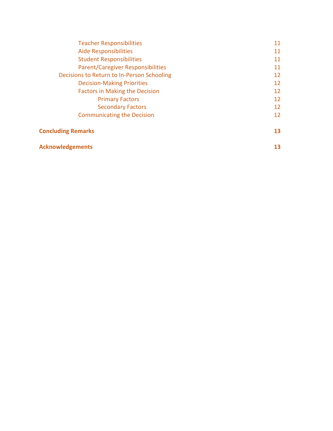| <b>Teacher Responsibilities</b>            | 11 |
|--------------------------------------------|----|
| <b>Aide Responsibilities</b>               | 11 |
| <b>Student Responsibilities</b>            | 11 |
| <b>Parent/Caregiver Responsibilities</b>   | 11 |
| Decisions to Return to In-Person Schooling | 12 |
| <b>Decision-Making Priorities</b>          | 12 |
| <b>Factors in Making the Decision</b>      | 12 |
| <b>Primary Factors</b>                     | 12 |
| <b>Secondary Factors</b>                   | 12 |
| <b>Communicating the Decision</b>          | 12 |
| <b>Concluding Remarks</b>                  | 13 |
| <b>Acknowledgements</b>                    | 13 |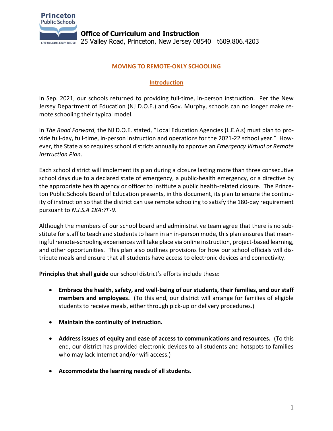

**Office of Curriculum and Instruction** Live to Learn, Learn to Live 25 Valley Road, Princeton, New Jersey 08540 t609.806.4203

## **MOVING TO REMOTE-ONLY SCHOOLING**

# **Introduction**

In Sep. 2021, our schools returned to providing full-time, in-person instruction. Per the New Jersey Department of Education (NJ D.O.E.) and Gov. Murphy, schools can no longer make remote schooling their typical model.

In *The Road Forward*, the NJ D.O.E. stated, "Local Education Agencies (L.E.A.s) must plan to provide full-day, full-time, in-person instruction and operations for the 2021-22 school year." However, the State also requires school districts annually to approve an *Emergency Virtual or Remote Instruction Plan*.

Each school district will implement its plan during a closure lasting more than three consecutive school days due to a declared state of emergency, a public-health emergency, or a directive by the appropriate health agency or officer to institute a public health-related closure. The Princeton Public Schools Board of Education presents, in this document, its plan to ensure the continuity of instruction so that the district can use remote schooling to satisfy the 180-day requirement pursuant to *N.J.S.A 18A:7F-9*.

Although the members of our school board and administrative team agree that there is no substitute for staff to teach and students to learn in an in-person mode, this plan ensures that meaningful remote-schooling experiences will take place via online instruction, project-based learning, and other opportunities. This plan also outlines provisions for how our school officials will distribute meals and ensure that all students have access to electronic devices and connectivity.

**Principles that shall guide** our school district's efforts include these:

- **Embrace the health, safety, and well-being of our students, their families, and our staff members and employees.** (To this end, our district will arrange for families of eligible students to receive meals, either through pick-up or delivery procedures.)
- **Maintain the continuity of instruction.**
- **Address issues of equity and ease of access to communications and resources.** (To this end, our district has provided electronic devices to all students and hotspots to families who may lack Internet and/or wifi access.)
- **Accommodate the learning needs of all students.**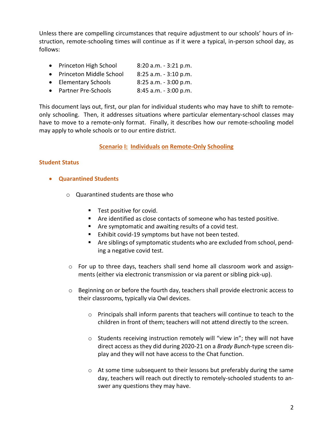Unless there are compelling circumstances that require adjustment to our schools' hours of instruction, remote-schooling times will continue as if it were a typical, in-person school day, as follows:

- Princeton High School 8:20 a.m. 3:21 p.m.
- Princeton Middle School 8:25 a.m. 3:10 p.m.
- Elementary Schools 8:25 a.m. 3:00 p.m.
- Partner Pre-Schools 8:45 a.m. 3:00 p.m.

This document lays out, first, our plan for individual students who may have to shift to remoteonly schooling. Then, it addresses situations where particular elementary-school classes may have to move to a remote-only format. Finally, it describes how our remote-schooling model may apply to whole schools or to our entire district.

## **Scenario I: Individuals on Remote-Only Schooling**

#### **Student Status**

- **Quarantined Students**
	- o Quarantined students are those who
		- Test positive for covid.
		- Are identified as close contacts of someone who has tested positive.
		- Are symptomatic and awaiting results of a covid test.
		- Exhibit covid-19 symptoms but have not been tested.
		- Are siblings of symptomatic students who are excluded from school, pending a negative covid test.
	- o For up to three days, teachers shall send home all classroom work and assignments (either via electronic transmission or via parent or sibling pick-up).
	- $\circ$  Beginning on or before the fourth day, teachers shall provide electronic access to their classrooms, typically via Owl devices.
		- o Principals shall inform parents that teachers will continue to teach to the children in front of them; teachers will not attend directly to the screen.
		- o Students receiving instruction remotely will "view in"; they will not have direct access as they did during 2020-21 on a *Brady Bunch*-type screen display and they will not have access to the Chat function.
		- $\circ$  At some time subsequent to their lessons but preferably during the same day, teachers will reach out directly to remotely-schooled students to answer any questions they may have.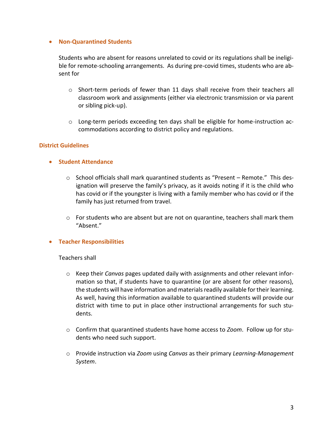## • **Non-Quarantined Students**

Students who are absent for reasons unrelated to covid or its regulations shall be ineligible for remote-schooling arrangements. As during pre-covid times, students who are absent for

- o Short-term periods of fewer than 11 days shall receive from their teachers all classroom work and assignments (either via electronic transmission or via parent or sibling pick-up).
- $\circ$  Long-term periods exceeding ten days shall be eligible for home-instruction accommodations according to district policy and regulations.

#### **District Guidelines**

- **Student Attendance**
	- $\circ$  School officials shall mark quarantined students as "Present Remote." This designation will preserve the family's privacy, as it avoids noting if it is the child who has covid or if the youngster is living with a family member who has covid or if the family has just returned from travel.
	- $\circ$  For students who are absent but are not on quarantine, teachers shall mark them "Absent."

#### • **Teacher Responsibilities**

#### Teachers shall

- o Keep their *Canvas* pages updated daily with assignments and other relevant information so that, if students have to quarantine (or are absent for other reasons), the students will have information and materials readily available for their learning. As well, having this information available to quarantined students will provide our district with time to put in place other instructional arrangements for such students.
- o Confirm that quarantined students have home access to *Zoom*. Follow up for students who need such support.
- o Provide instruction via *Zoom* using *Canvas* as their primary *Learning-Management System*.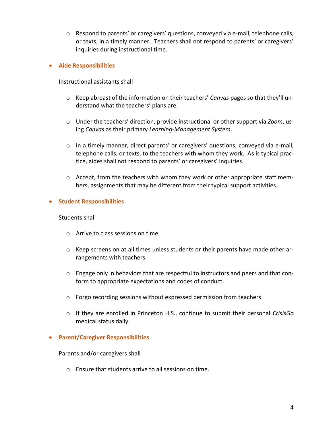$\circ$  Respond to parents' or caregivers' questions, conveyed via e-mail, telephone calls, or texts, in a timely manner. Teachers shall not respond to parents' or caregivers' inquiries during instructional time.

#### • **Aide Responsibilities**

Instructional assistants shall

- o Keep abreast of the information on their teachers' *Canvas* pages so that they'll understand what the teachers' plans are.
- o Under the teachers' direction, provide instructional or other support via *Zoom*, using *Canvas* as their primary *Learning-Management System*.
- o In a timely manner, direct parents' or caregivers' questions, conveyed via e-mail, telephone calls, or texts, to the teachers with whom they work. As is typical practice, aides shall not respond to parents' or caregivers' inquiries.
- $\circ$  Accept, from the teachers with whom they work or other appropriate staff members, assignments that may be different from their typical support activities.

## • **Student Responsibilities**

Students shall

- o Arrive to class sessions on time.
- $\circ$  Keep screens on at all times unless students or their parents have made other arrangements with teachers.
- $\circ$  Engage only in behaviors that are respectful to instructors and peers and that conform to appropriate expectations and codes of conduct.
- o Forgo recording sessions without expressed permission from teachers.
- o If they are enrolled in Princeton H.S., continue to submit their personal *CrisisGo* medical status daily.

#### • **Parent/Caregiver Responsibilities**

Parents and/or caregivers shall

o Ensure that students arrive to all sessions on time.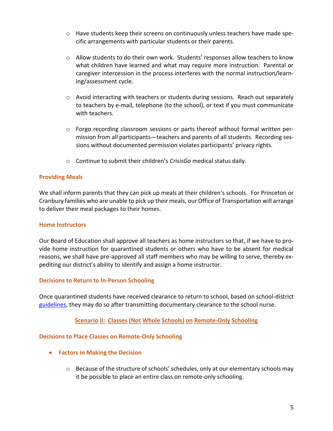- $\circ$  Have students keep their screens on continuously unless teachers have made specific arrangements with particular students or their parents.
- $\circ$  Allow students to do their own work. Students' responses allow teachers to know what children have learned and what may require more instruction. Parental or caregiver intercession in the process interferes with the normal instruction/learning/assessment cycle.
- $\circ$  Avoid interacting with teachers or students during sessions. Reach out separately to teachers by e-mail, telephone (to the school), or text if you must communicate with teachers.
- $\circ$  Forgo recording classroom sessions or parts thereof without formal written permission from all participants—teachers and parents of all students. Recording sessions without documented permission violates participants' privacy rights.
- o Continue to submit their children's *CrisisGo* medical status daily.

## **Providing Meals**

We shall inform parents that they can pick up meals at their children's schools. For Princeton or Cranbury families who are unable to pick up their meals, our Office of Transportation will arrange to deliver their meal packages to their homes.

## **Home Instructors**

Our Board of Education shall approve all teachers as home instructors so that, if we have to provide home instruction for quarantined students or others who have to be absent for medical reasons, we shall have pre-approved all staff members who may be willing to serve, thereby expediting our district's ability to identify and assign a home instructor.

## **Decisions to Return to In-Person Schooling**

Once quarantined students have received clearance to return to school, based on school-district [guidelines,](https://www.princetonk12.org/fs/resource-manager/view/03a88c90-dcfe-4729-b82e-7f6150e7d348) they may do so after transmitting documentary clearance to the school nurse.

# **Scenario II: Classes (Not Whole Schools) on Remote-Only Schooling**

## **Decisions to Place Classes on Remote-Only Schooling**

- **Factors in Making the Decision**
	- $\circ$  Because of the structure of schools' schedules, only at our elementary schools may it be possible to place an entire class on remote-only schooling.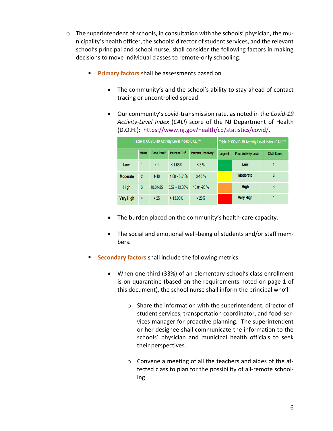- $\circ$  The superintendent of schools, in consultation with the schools' physician, the municipality's health officer, the schools' director of student services, and the relevant school's principal and school nurse, shall consider the following factors in making decisions to move individual classes to remote-only schooling:
	- **Primary factors** shall be assessments based on
		- The community's and the school's ability to stay ahead of contact tracing or uncontrolled spread.
		- Our community's covid-transmission rate, as noted in the *Covid-19 Activity-Level Index* (*CALI*) score of the NJ Department of Health (D.O.H.): [https://www.nj.gov/health/cd/statistics/covid/.](https://www.nj.gov/health/cd/statistics/covid/)

| Table 1: COVID-19 Activity Level Index (CALI) <sup>6a</sup> |                |                        | Table 2: COVID-19 Activity Level Index (CALI) <sup>6b</sup> |                                 |        |                             |                   |
|-------------------------------------------------------------|----------------|------------------------|-------------------------------------------------------------|---------------------------------|--------|-----------------------------|-------------------|
|                                                             | Value          | Case Rate <sup>3</sup> | Percent CLI <sup>4</sup>                                    | Percent Positivity <sup>5</sup> | Legend | <b>Final Activity Level</b> | <b>CALI Score</b> |
| Low                                                         |                | $\leq 1$               | $< 1.68\%$                                                  | $< 3 \%$                        |        | Low                         |                   |
| <b>Moderate</b>                                             | $\overline{2}$ | $1 - 10$               | $1.68 - 5.51%$                                              | $3 - 10%$                       |        | <b>Moderate</b>             | $\overline{2}$    |
| High                                                        | 3              | 10.01-25               | $5.52 - 13.08%$                                             | 10.01-20 %                      |        | <b>High</b>                 | 3                 |
| <b>Very High</b>                                            | 4              | >25                    | $>13.08\%$                                                  | > 20%                           |        | <b>Very High</b>            | 4                 |

- The burden placed on the community's health-care capacity.
- The social and emotional well-being of students and/or staff members.
- **Secondary factors** shall include the following metrics:
	- When one-third (33%) of an elementary-school's class enrollment is on quarantine (based on the requirements noted on page 1 of this document), the school nurse shall inform the principal who'll
		- o Share the information with the superintendent, director of student services, transportation coordinator, and food-services manager for proactive planning. The superintendent or her designee shall communicate the information to the schools' physician and municipal health officials to seek their perspectives.
		- o Convene a meeting of all the teachers and aides of the affected class to plan for the possibility of all-remote schooling.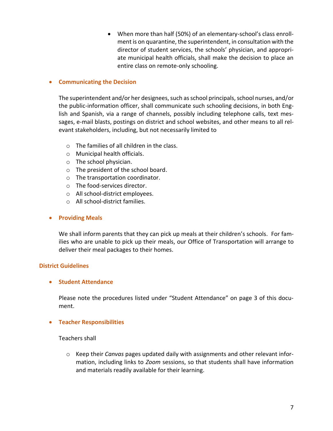• When more than half (50%) of an elementary-school's class enrollment is on quarantine, the superintendent, in consultation with the director of student services, the schools' physician, and appropriate municipal health officials, shall make the decision to place an entire class on remote-only schooling.

## • **Communicating the Decision**

The superintendent and/or her designees, such as school principals, school nurses, and/or the public-information officer, shall communicate such schooling decisions, in both English and Spanish, via a range of channels, possibly including telephone calls, text messages, e-mail blasts, postings on district and school websites, and other means to all relevant stakeholders, including, but not necessarily limited to

- o The families of all children in the class.
- o Municipal health officials.
- o The school physician.
- o The president of the school board.
- o The transportation coordinator.
- o The food-services director.
- o All school-district employees.
- o All school-district families.

# • **Providing Meals**

We shall inform parents that they can pick up meals at their children's schools. For families who are unable to pick up their meals, our Office of Transportation will arrange to deliver their meal packages to their homes.

# **District Guidelines**

# • **Student Attendance**

Please note the procedures listed under "Student Attendance" on page 3 of this document.

# • **Teacher Responsibilities**

## Teachers shall

o Keep their *Canvas* pages updated daily with assignments and other relevant information, including links to *Zoom* sessions, so that students shall have information and materials readily available for their learning.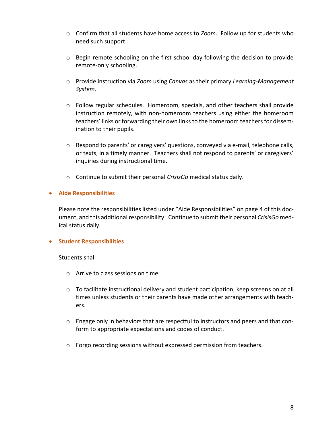- o Confirm that all students have home access to *Zoom*. Follow up for students who need such support.
- $\circ$  Begin remote schooling on the first school day following the decision to provide remote-only schooling.
- o Provide instruction via *Zoom* using *Canvas* as their primary *Learning-Management System*.
- $\circ$  Follow regular schedules. Homeroom, specials, and other teachers shall provide instruction remotely, with non-homeroom teachers using either the homeroom teachers' links or forwarding their own links to the homeroom teachers for dissemination to their pupils.
- $\circ$  Respond to parents' or caregivers' questions, conveyed via e-mail, telephone calls, or texts, in a timely manner. Teachers shall not respond to parents' or caregivers' inquiries during instructional time.
- o Continue to submit their personal *CrisisGo* medical status daily.

## • **Aide Responsibilities**

Please note the responsibilities listed under "Aide Responsibilities" on page 4 of this document, and this additional responsibility: Continue to submit their personal *CrisisGo* medical status daily.

## • **Student Responsibilities**

Students shall

- o Arrive to class sessions on time.
- $\circ$  To facilitate instructional delivery and student participation, keep screens on at all times unless students or their parents have made other arrangements with teachers.
- $\circ$  Engage only in behaviors that are respectful to instructors and peers and that conform to appropriate expectations and codes of conduct.
- o Forgo recording sessions without expressed permission from teachers.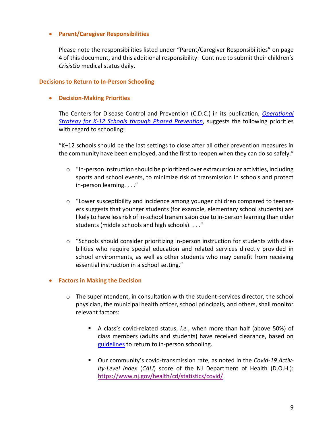## • **Parent/Caregiver Responsibilities**

Please note the responsibilities listed under "Parent/Caregiver Responsibilities" on page 4 of this document, and this additional responsibility: Continue to submit their children's *CrisisGo* medical status daily.

#### **Decisions to Return to In-Person Schooling**

• **Decision-Making Priorities**

The Centers for Disease Control and Prevention (C.D.C.) in its publication, *[Operational](https://www.cdc.gov/coronavirus/2019-ncov/community/schools-childcare/operation-strategy.html#anchor_1616080121423)  [Strategy for K-12 Schools through Phased Prevention](https://www.cdc.gov/coronavirus/2019-ncov/community/schools-childcare/operation-strategy.html#anchor_1616080121423)*, suggests the following priorities with regard to schooling:

"K–12 schools should be the last settings to close after all other prevention measures in the community have been employed, and the first to reopen when they can do so safely."

- $\circ$  "In-person instruction should be prioritized over extracurricular activities, including sports and school events, to minimize risk of transmission in schools and protect in-person learning. . . ."
- $\circ$  "Lower susceptibility and incidence among younger children compared to teenagers suggests that younger students (for example, elementary school students) are likely to have less risk of in-school transmission due to in-person learning than older students (middle schools and high schools). . . ."
- $\circ$  "Schools should consider prioritizing in-person instruction for students with disabilities who require special education and related services directly provided in school environments, as well as other students who may benefit from receiving essential instruction in a school setting."

## • **Factors in Making the Decision**

- $\circ$  The superintendent, in consultation with the student-services director, the school physician, the municipal health officer, school principals, and others, shall monitor relevant factors:
	- A class's covid-related status, *i.e.*, when more than half (above 50%) of class members (adults and students) have received clearance, based on [guidelines](https://www.princetonk12.org/fs/resource-manager/view/7587f7f5-2ed3-4699-854f-1523e5c1102c) to return to in-person schooling.
	- Our community's covid-transmission rate, as noted in the *Covid-19 Activity-Level Index* (*CALI*) score of the NJ Department of Health (D.O.H.): <https://www.nj.gov/health/cd/statistics/covid/>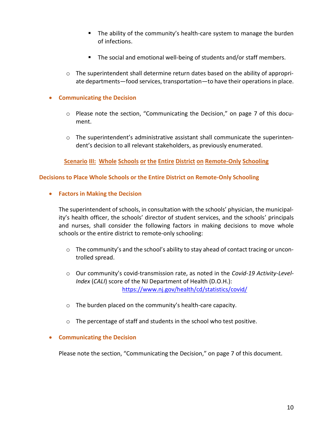- The ability of the community's health-care system to manage the burden of infections.
- The social and emotional well-being of students and/or staff members.
- $\circ$  The superintendent shall determine return dates based on the ability of appropriate departments—food services, transportation—to have their operations in place.

# • **Communicating the Decision**

- o Please note the section, "Communicating the Decision," on page 7 of this document.
- o The superintendent's administrative assistant shall communicate the superintendent's decision to all relevant stakeholders, as previously enumerated.

**Scenario III: Whole Schools or the Entire District on Remote-Only Schooling**

# **Decisions to Place Whole Schools or the Entire District on Remote-Only Schooling**

• **Factors in Making the Decision**

The superintendent of schools, in consultation with the schools' physician, the municipality's health officer, the schools' director of student services, and the schools' principals and nurses, shall consider the following factors in making decisions to move whole schools or the entire district to remote-only schooling:

- $\circ$  The community's and the school's ability to stay ahead of contact tracing or uncontrolled spread.
- o Our community's covid-transmission rate, as noted in the *Covid-19 Activity-Level-Index* (*CALI*) score of the NJ Department of Health (D.O.H.): <https://www.nj.gov/health/cd/statistics/covid/>
- o The burden placed on the community's health-care capacity.
- o The percentage of staff and students in the school who test positive.

# • **Communicating the Decision**

Please note the section, "Communicating the Decision," on page 7 of this document.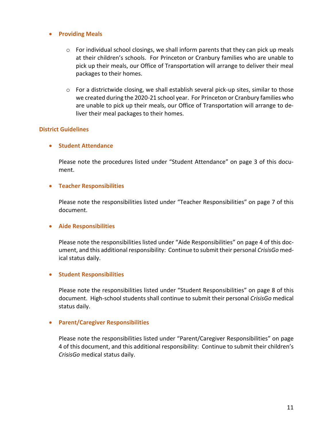#### • **Providing Meals**

- $\circ$  For individual school closings, we shall inform parents that they can pick up meals at their children's schools. For Princeton or Cranbury families who are unable to pick up their meals, our Office of Transportation will arrange to deliver their meal packages to their homes.
- o For a districtwide closing, we shall establish several pick-up sites, similar to those we created during the 2020-21 school year. For Princeton or Cranbury families who are unable to pick up their meals, our Office of Transportation will arrange to deliver their meal packages to their homes.

#### **District Guidelines**

## • **Student Attendance**

Please note the procedures listed under "Student Attendance" on page 3 of this document.

#### • **Teacher Responsibilities**

Please note the responsibilities listed under "Teacher Responsibilities" on page 7 of this document.

#### • **Aide Responsibilities**

Please note the responsibilities listed under "Aide Responsibilities" on page 4 of this document, and this additional responsibility: Continue to submit their personal *CrisisGo* medical status daily.

## • **Student Responsibilities**

Please note the responsibilities listed under "Student Responsibilities" on page 8 of this document. High-school students shall continue to submit their personal *CrisisGo* medical status daily.

#### • **Parent/Caregiver Responsibilities**

Please note the responsibilities listed under "Parent/Caregiver Responsibilities" on page 4 of this document, and this additional responsibility: Continue to submit their children's *CrisisGo* medical status daily.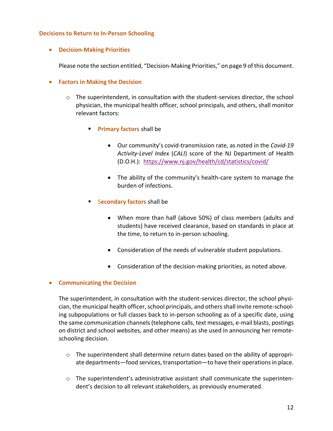#### **Decisions to Return to In-Person Schooling**

• **Decision-Making Priorities**

Please note the section entitled, "Decision-Making Priorities," on page 9 of this document.

- **Factors in Making the Decision**
	- $\circ$  The superintendent, in consultation with the student-services director, the school physician, the municipal health officer, school principals, and others, shall monitor relevant factors:
		- **Example 1 Primary factors** shall be
			- Our community's covid-transmission rate, as noted in the *Covid-19 Activity-Level Index* (*CALI*) score of the NJ Department of Health (D.O.H.): <https://www.nj.gov/health/cd/statistics/covid/>
			- The ability of the community's health-care system to manage the burden of infections.
		- Secondary factors shall be
			- When more than half (above 50%) of class members (adults and students) have received clearance, based on standards in place at the time, to return to in-person schooling.
			- Consideration of the needs of vulnerable student populations.
			- Consideration of the decision-making priorities, as noted above.

## • **Communicating the Decision**

The superintendent, in consultation with the student-services director, the school physician, the municipal health officer, school principals, and others shall invite remote-schooling subpopulations or full classes back to in-person schooling as of a specific date, using the same communication channels (telephone calls, text messages, e-mail blasts, postings on district and school websites, and other means) as she used in announcing her remoteschooling decision.

- $\circ$  The superintendent shall determine return dates based on the ability of appropriate departments—food services, transportation—to have their operations in place.
- o The superintendent's administrative assistant shall communicate the superintendent's decision to all relevant stakeholders, as previously enumerated.